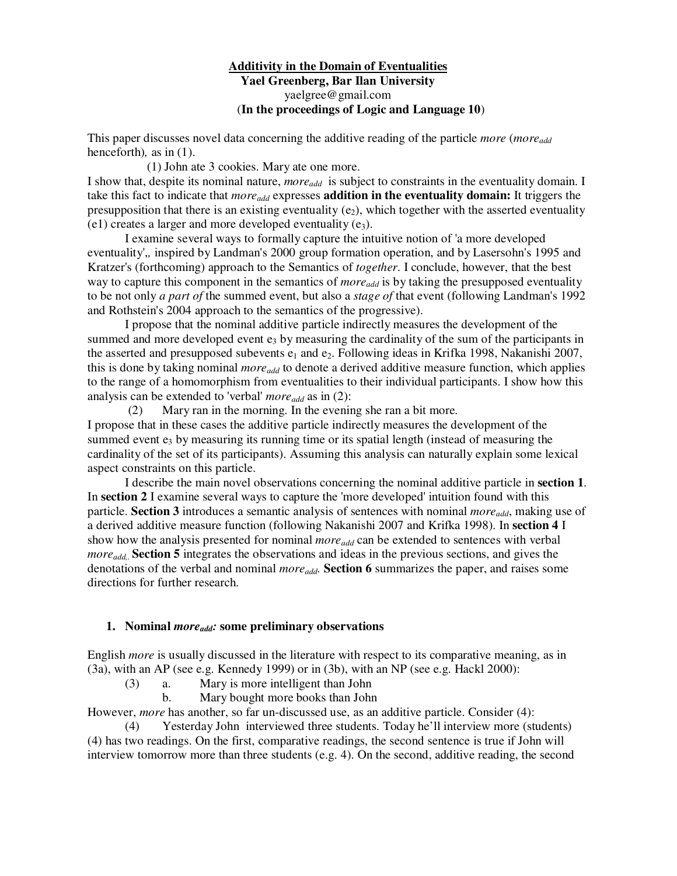# **Additivity in the Domain of Eventualities Yael Greenberg, Bar Ilan University**  yaelgree@gmail.com (**In the proceedings of Logic and Language 10**)

This paper discusses novel data concerning the additive reading of the particle *more* (*moreadd* henceforth)*,* as in (1).

(1) John ate 3 cookies. Mary ate one more.

I show that, despite its nominal nature, *moreadd* is subject to constraints in the eventuality domain. I take this fact to indicate that *moreadd* expresses **addition in the eventuality domain:** It triggers the presupposition that there is an existing eventuality  $(e_2)$ , which together with the asserted eventuality (e1) creates a larger and more developed eventuality  $(e_3)$ .

I examine several ways to formally capture the intuitive notion of 'a more developed eventuality',*,* inspired by Landman's 2000 group formation operation, and by Lasersohn's 1995 and Kratzer's (forthcoming) approach to the Semantics of *together*. I conclude, however, that the best way to capture this component in the semantics of *more<sub>add</sub>* is by taking the presupposed eventuality to be not only *a part of* the summed event, but also a *stage of* that event (following Landman's 1992 and Rothstein's 2004 approach to the semantics of the progressive).

I propose that the nominal additive particle indirectly measures the development of the summed and more developed event  $e_3$  by measuring the cardinality of the sum of the participants in the asserted and presupposed subevents  $e_1$  and  $e_2$ . Following ideas in Krifka 1998, Nakanishi 2007, this is done by taking nominal *moreadd* to denote a derived additive measure function, which applies to the range of a homomorphism from eventualities to their individual participants. I show how this analysis can be extended to 'verbal' *moreadd* as in (2):

(2) Mary ran in the morning. In the evening she ran a bit more.

I propose that in these cases the additive particle indirectly measures the development of the summed event  $e_3$  by measuring its running time or its spatial length (instead of measuring the cardinality of the set of its participants). Assuming this analysis can naturally explain some lexical aspect constraints on this particle.

 I describe the main novel observations concerning the nominal additive particle in **section 1**. In **section 2** I examine several ways to capture the 'more developed' intuition found with this particle. **Section 3** introduces a semantic analysis of sentences with nominal *moreadd*, making use of a derived additive measure function (following Nakanishi 2007 and Krifka 1998). In **section 4** I show how the analysis presented for nominal *more*<sub>*add*</sub> can be extended to sentences with verbal *moreadd,*. **Section 5** integrates the observations and ideas in the previous sections, and gives the denotations of the verbal and nominal *moreadd.* **Section 6** summarizes the paper, and raises some directions for further research.

## **1. Nominal** *moreadd:* **some preliminary observations**

English *more* is usually discussed in the literature with respect to its comparative meaning, as in (3a), with an AP (see e.g. Kennedy 1999) or in (3b), with an NP (see e.g. Hackl 2000):

(3) a. Mary is more intelligent than John

b. Mary bought more books than John

However, *more* has another, so far un-discussed use, as an additive particle. Consider (4):

(4) Yesterday John interviewed three students. Today he'll interview more (students) (4) has two readings. On the first, comparative readings, the second sentence is true if John will interview tomorrow more than three students (e.g. 4). On the second, additive reading, the second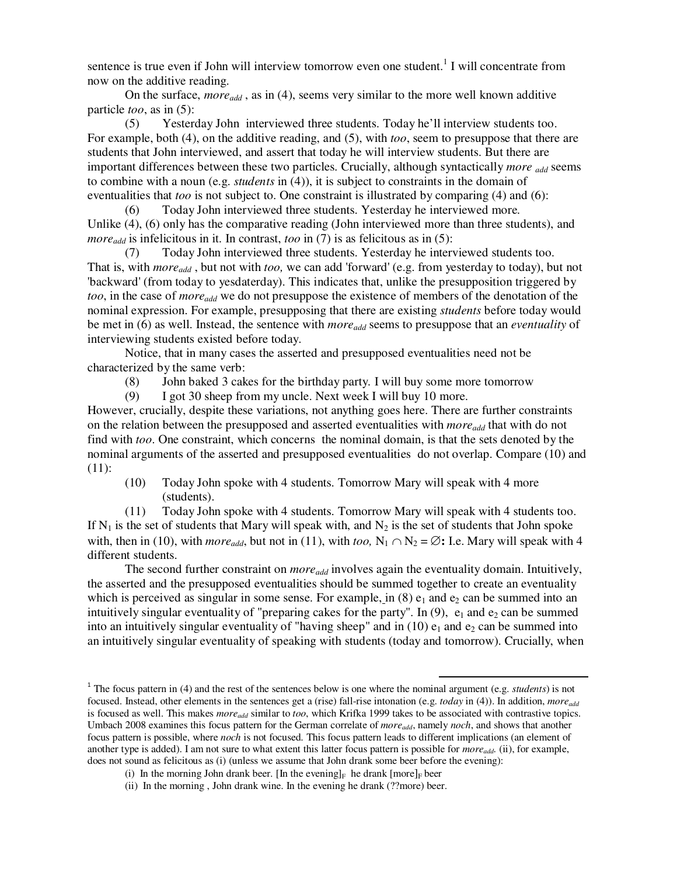sentence is true even if John will interview tomorrow even one student.<sup>1</sup> I will concentrate from now on the additive reading.

 On the surface, *moreadd* , as in (4), seems very similar to the more well known additive particle *too*, as in (5):

(5) Yesterday John interviewed three students. Today he'll interview students too. For example, both (4), on the additive reading, and (5), with *too*, seem to presuppose that there are students that John interviewed, and assert that today he will interview students. But there are important differences between these two particles. Crucially, although syntactically *more* <sub>add</sub> seems to combine with a noun (e.g. *students* in (4)), it is subject to constraints in the domain of eventualities that *too* is not subject to. One constraint is illustrated by comparing (4) and (6):

(6) Today John interviewed three students. Yesterday he interviewed more. Unlike (4), (6) only has the comparative reading (John interviewed more than three students), and *moreadd* is infelicitous in it. In contrast, *too* in (7) is as felicitous as in (5):

Today John interviewed three students. Yesterday he interviewed students too. That is, with *moreadd* , but not with *too,* we can add 'forward' (e.g. from yesterday to today), but not 'backward' (from today to yesdaterday). This indicates that, unlike the presupposition triggered by *too*, in the case of *moreadd* we do not presuppose the existence of members of the denotation of the nominal expression. For example, presupposing that there are existing *students* before today would be met in (6) as well. Instead, the sentence with *moreadd* seems to presuppose that an *eventuality* of interviewing students existed before today.

Notice, that in many cases the asserted and presupposed eventualities need not be characterized by the same verb:

(8) John baked 3 cakes for the birthday party. I will buy some more tomorrow

(9) I got 30 sheep from my uncle. Next week I will buy 10 more.

However, crucially, despite these variations, not anything goes here. There are further constraints on the relation between the presupposed and asserted eventualities with *moreadd* that with do not find with *too*. One constraint, which concerns the nominal domain, is that the sets denoted by the nominal arguments of the asserted and presupposed eventualities do not overlap. Compare (10) and (11):

(10) Today John spoke with 4 students. Tomorrow Mary will speak with 4 more (students).

(11) Today John spoke with 4 students. Tomorrow Mary will speak with 4 students too. If  $N_1$  is the set of students that Mary will speak with, and  $N_2$  is the set of students that John spoke with, then in (10), with *more*<sub>add</sub>, but not in (11), with *too*, N<sub>1</sub> ∩ N<sub>2</sub> = ∅**:** I.e. Mary will speak with 4 different students.

The second further constraint on *moreadd* involves again the eventuality domain. Intuitively, the asserted and the presupposed eventualities should be summed together to create an eventuality which is perceived as singular in some sense. For example, in  $(8)$  e<sub>1</sub> and e<sub>2</sub> can be summed into an intuitively singular eventuality of "preparing cakes for the party". In  $(9)$ ,  $e_1$  and  $e_2$  can be summed into an intuitively singular eventuality of "having sheep" and in  $(10)$   $e_1$  and  $e_2$  can be summed into an intuitively singular eventuality of speaking with students (today and tomorrow). Crucially, when

.

<sup>&</sup>lt;sup>1</sup> The focus pattern in (4) and the rest of the sentences below is one where the nominal argument (e.g. *students*) is not focused. Instead, other elements in the sentences get a (rise) fall-rise intonation (e.g. *today* in (4)). In addition, *moreadd* is focused as well. This makes *moreadd* similar to *too*, which Krifka 1999 takes to be associated with contrastive topics. Umbach 2008 examines this focus pattern for the German correlate of *moreadd*, namely *noch*, and shows that another focus pattern is possible, where *noch* is not focused. This focus pattern leads to different implications (an element of another type is added). I am not sure to what extent this latter focus pattern is possible for *moreadd.* (ii), for example, does not sound as felicitous as (i) (unless we assume that John drank some beer before the evening):

<sup>(</sup>i) In the morning John drank beer. [In the evening]<sub>F</sub> he drank [more]<sub>F</sub> beer

 <sup>(</sup>ii) In the morning , John drank wine. In the evening he drank (??more) beer.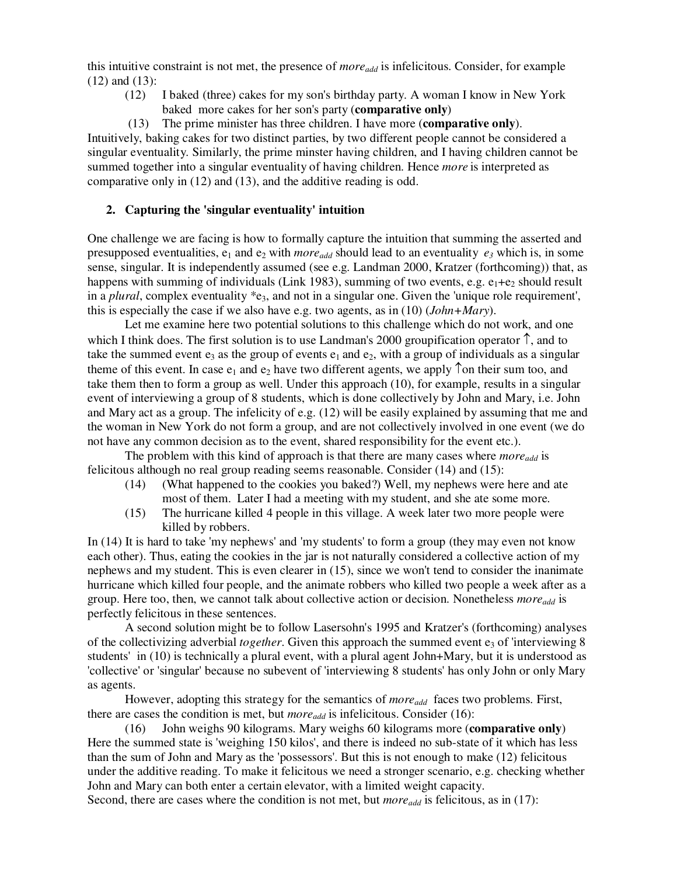this intuitive constraint is not met, the presence of *moreadd* is infelicitous. Consider, for example  $(12)$  and  $(13)$ :<br> $(12)$ 

- I baked (three) cakes for my son's birthday party. A woman I know in New York baked more cakes for her son's party (**comparative only**)
- (13) The prime minister has three children. I have more (**comparative only**).

Intuitively, baking cakes for two distinct parties, by two different people cannot be considered a singular eventuality. Similarly, the prime minster having children, and I having children cannot be summed together into a singular eventuality of having children. Hence *more* is interpreted as comparative only in (12) and (13), and the additive reading is odd.

## **2. Capturing the 'singular eventuality' intuition**

One challenge we are facing is how to formally capture the intuition that summing the asserted and presupposed eventualities,  $e_1$  and  $e_2$  with *more*<sub>add</sub> should lead to an eventuality  $e_3$  which is, in some sense, singular. It is independently assumed (see e.g. Landman 2000, Kratzer (forthcoming)) that, as happens with summing of individuals (Link 1983), summing of two events, e.g.  $e_1 + e_2$  should result in a *plural*, complex eventuality  $*_3$ , and not in a singular one. Given the 'unique role requirement', this is especially the case if we also have e.g. two agents, as in (10) (*John+Mary*).

 Let me examine here two potential solutions to this challenge which do not work, and one which I think does. The first solution is to use Landman's 2000 groupification operator ↑, and to take the summed event  $e_3$  as the group of events  $e_1$  and  $e_2$ , with a group of individuals as a singular theme of this event. In case  $e_1$  and  $e_2$  have two different agents, we apply  $\uparrow$  on their sum too, and take them then to form a group as well. Under this approach (10), for example, results in a singular event of interviewing a group of 8 students, which is done collectively by John and Mary, i.e. John and Mary act as a group. The infelicity of e.g. (12) will be easily explained by assuming that me and the woman in New York do not form a group, and are not collectively involved in one event (we do not have any common decision as to the event, shared responsibility for the event etc.).

 The problem with this kind of approach is that there are many cases where *moreadd* is felicitous although no real group reading seems reasonable. Consider (14) and (15):

- (14)(What happened to the cookies you baked?) Well, my nephews were here and ate most of them. Later I had a meeting with my student, and she ate some more.
- (15) The hurricane killed 4 people in this village. A week later two more people were killed by robbers.

In (14) It is hard to take 'my nephews' and 'my students' to form a group (they may even not know each other). Thus, eating the cookies in the jar is not naturally considered a collective action of my nephews and my student. This is even clearer in (15), since we won't tend to consider the inanimate hurricane which killed four people, and the animate robbers who killed two people a week after as a group. Here too, then, we cannot talk about collective action or decision. Nonetheless *moreadd* is perfectly felicitous in these sentences.

A second solution might be to follow Lasersohn's 1995 and Kratzer's (forthcoming) analyses of the collectivizing adverbial *together*. Given this approach the summed event e3 of 'interviewing 8 students' in (10) is technically a plural event, with a plural agent John+Mary, but it is understood as 'collective' or 'singular' because no subevent of 'interviewing 8 students' has only John or only Mary as agents.

However, adopting this strategy for the semantics of *moreadd* faces two problems. First, there are cases the condition is met, but *moreadd* is infelicitous. Consider (16):

(16) John weighs 90 kilograms. Mary weighs 60 kilograms more (**comparative only**) Here the summed state is 'weighing 150 kilos', and there is indeed no sub-state of it which has less than the sum of John and Mary as the 'possessors'. But this is not enough to make (12) felicitous under the additive reading. To make it felicitous we need a stronger scenario, e.g. checking whether John and Mary can both enter a certain elevator, with a limited weight capacity.

Second, there are cases where the condition is not met, but *more*<sub>add</sub> is felicitous, as in (17):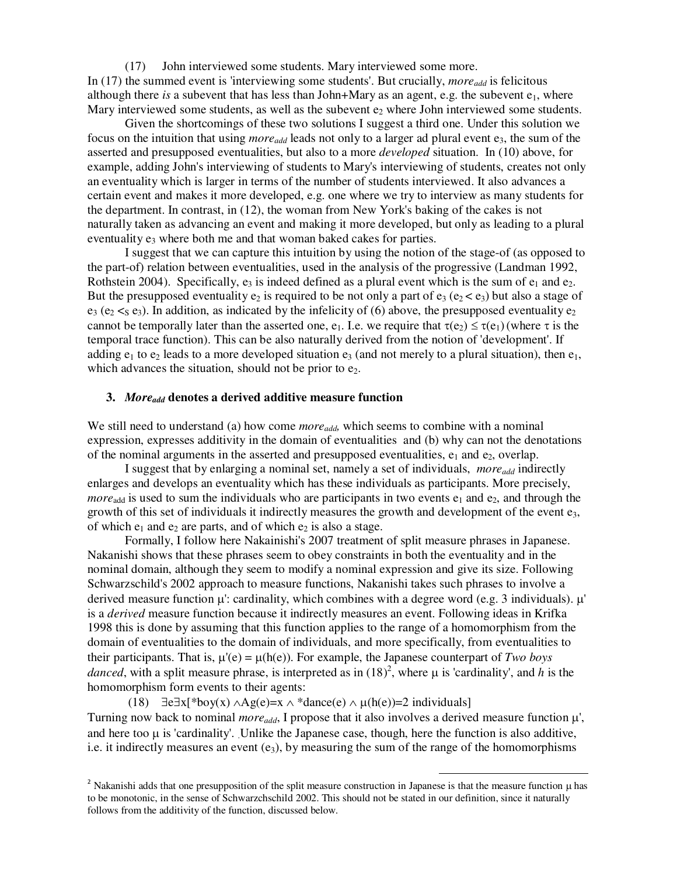(17) John interviewed some students. Mary interviewed some more. In (17) the summed event is 'interviewing some students'. But crucially, *more*<sub>add</sub> is felicitous although there *is* a subevent that has less than John+Mary as an agent, e.g. the subevent  $e_1$ , where Mary interviewed some students, as well as the subevent  $e_2$  where John interviewed some students.

Given the shortcomings of these two solutions I suggest a third one. Under this solution we focus on the intuition that using *moreadd* leads not only to a larger ad plural event e3, the sum of the asserted and presupposed eventualities, but also to a more *developed* situation. In (10) above, for example, adding John's interviewing of students to Mary's interviewing of students, creates not only an eventuality which is larger in terms of the number of students interviewed. It also advances a certain event and makes it more developed, e.g. one where we try to interview as many students for the department. In contrast, in (12), the woman from New York's baking of the cakes is not naturally taken as advancing an event and making it more developed, but only as leading to a plural eventuality e<sub>3</sub> where both me and that woman baked cakes for parties.

I suggest that we can capture this intuition by using the notion of the stage-of (as opposed to the part-of) relation between eventualities, used in the analysis of the progressive (Landman 1992, Rothstein 2004). Specifically,  $e_3$  is indeed defined as a plural event which is the sum of  $e_1$  and  $e_2$ . But the presupposed eventuality  $e_2$  is required to be not only a part of  $e_3$  ( $e_2 < e_3$ ) but also a stage of  $e_3$  ( $e_2 < s$ ,  $e_3$ ). In addition, as indicated by the infelicity of (6) above, the presupposed eventuality  $e_2$ cannot be temporally later than the asserted one, e<sub>1</sub>. I.e. we require that  $\tau(e_2) \leq \tau(e_1)$  (where  $\tau$  is the temporal trace function). This can be also naturally derived from the notion of 'development'. If adding  $e_1$  to  $e_2$  leads to a more developed situation  $e_3$  (and not merely to a plural situation), then  $e_1$ , which advances the situation, should not be prior to  $e_2$ .

### **3.** *Moreadd* **denotes a derived additive measure function**

We still need to understand (a) how come *more*<sub>add</sub>, which seems to combine with a nominal expression, expresses additivity in the domain of eventualities and (b) why can not the denotations of the nominal arguments in the asserted and presupposed eventualities,  $e_1$  and  $e_2$ , overlap.

 I suggest that by enlarging a nominal set, namely a set of individuals, *moreadd* indirectly enlarges and develops an eventuality which has these individuals as participants. More precisely, *more*<sub>add</sub> is used to sum the individuals who are participants in two events  $e_1$  and  $e_2$ , and through the growth of this set of individuals it indirectly measures the growth and development of the event  $e_3$ , of which  $e_1$  and  $e_2$  are parts, and of which  $e_2$  is also a stage.

Formally, I follow here Nakainishi's 2007 treatment of split measure phrases in Japanese. Nakanishi shows that these phrases seem to obey constraints in both the eventuality and in the nominal domain, although they seem to modify a nominal expression and give its size. Following Schwarzschild's 2002 approach to measure functions, Nakanishi takes such phrases to involve a derived measure function  $\mu$ : cardinality, which combines with a degree word (e.g. 3 individuals).  $\mu$ ' is a *derived* measure function because it indirectly measures an event. Following ideas in Krifka 1998 this is done by assuming that this function applies to the range of a homomorphism from the domain of eventualities to the domain of individuals, and more specifically, from eventualities to their participants. That is,  $\mu'(e) = \mu(h(e))$ . For example, the Japanese counterpart of *Two boys danced*, with a split measure phrase, is interpreted as in  $(18)^2$ , where  $\mu$  is 'cardinality', and *h* is the homomorphism form events to their agents:

(18)  $\exists e \exists x[*boy(x) \land Ag(e)=x \land *dance(e) \land \mu(h(e))=2$  individuals] Turning now back to nominal *moreadd*, I propose that it also involves a derived measure function µ', and here too  $\mu$  is 'cardinality'. Unlike the Japanese case, though, here the function is also additive, i.e. it indirectly measures an event  $(e_3)$ , by measuring the sum of the range of the homomorphisms

 $\overline{a}$ 

<sup>&</sup>lt;sup>2</sup> Nakanishi adds that one presupposition of the split measure construction in Japanese is that the measure function  $\mu$  has to be monotonic, in the sense of Schwarzchschild 2002. This should not be stated in our definition, since it naturally follows from the additivity of the function, discussed below.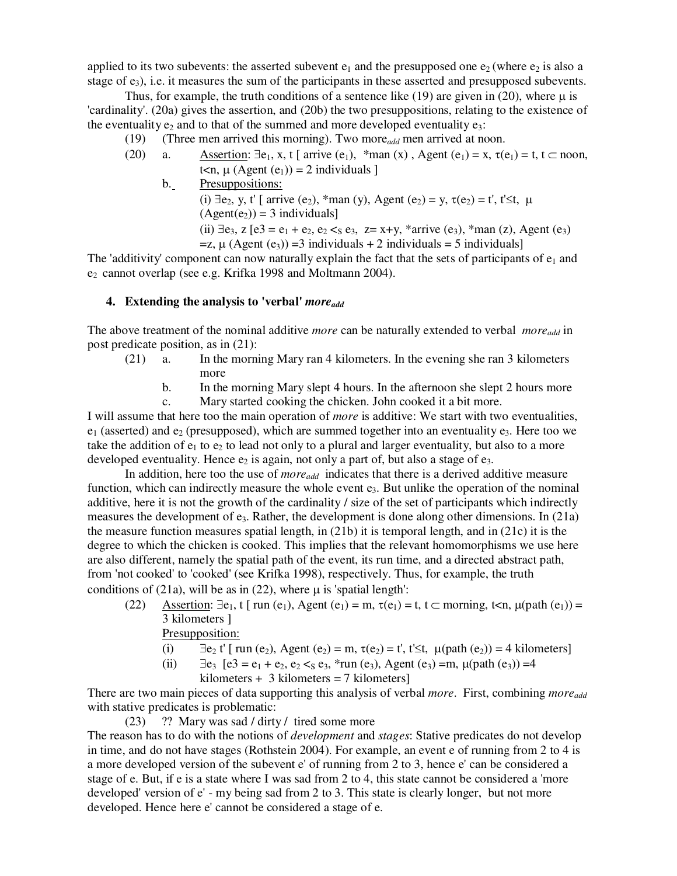applied to its two subevents: the asserted subevent  $e_1$  and the presupposed one  $e_2$  (where  $e_2$  is also a stage of  $e_3$ ), i.e. it measures the sum of the participants in these asserted and presupposed subevents.

Thus, for example, the truth conditions of a sentence like (19) are given in (20), where  $\mu$  is 'cardinality'. (20a) gives the assertion, and (20b) the two presuppositions, relating to the existence of the eventuality  $e_2$  and to that of the summed and more developed eventuality  $e_3$ :

(19) (Three men arrived this morning). Two more*add* men arrived at noon.

- (20) a. Assertion:  $\exists e_1, x, t \in \{arrive (e_1), \{x \mid an \in (x), A \neq 0\} = x, \tau(e_1) = t, t \in \{x \mid a \neq 0\}$ t $\langle n, \mu \rangle$  (Agent  $(e_1)$ ) = 2 individuals 1
	- b. Presuppositions: (i)  $\exists e_2, y, t'$  [ arrive (e<sub>2</sub>), \*man (y), Agent (e<sub>2</sub>) = y,  $\tau(e_2) = t'$ ,  $t' \le t$ ,  $\mu$  $(Agent(e_2)) = 3$  individuals] (ii)  $\exists e_3$ , z  $[e_3 = e_1 + e_2, e_2 \leq s e_3, z = x + y, \text{'}arrow (e_3), \text{'}arrow (z), \text{Agent} (e_3)$  $=z, \mu$  (Agent (e<sub>3</sub>)) = 3 individuals + 2 individuals = 5 individuals]

The 'additivity' component can now naturally explain the fact that the sets of participants of  $e_1$  and e2 cannot overlap (see e.g. Krifka 1998 and Moltmann 2004).

## **4. Extending the analysis to 'verbal'** *moreadd*

The above treatment of the nominal additive *more* can be naturally extended to verbal *moreadd* in post predicate position, as in (21):

- (21) a. In the morning Mary ran 4 kilometers. In the evening she ran 3 kilometers more
	- b. In the morning Mary slept 4 hours. In the afternoon she slept 2 hours more
	- c. Mary started cooking the chicken. John cooked it a bit more.

I will assume that here too the main operation of *more* is additive: We start with two eventualities,  $e_1$  (asserted) and  $e_2$  (presupposed), which are summed together into an eventuality  $e_3$ . Here too we take the addition of  $e_1$  to  $e_2$  to lead not only to a plural and larger eventuality, but also to a more developed eventuality. Hence  $e_2$  is again, not only a part of, but also a stage of  $e_3$ .

In addition, here too the use of *moreadd* indicates that there is a derived additive measure function, which can indirectly measure the whole event  $e_3$ . But unlike the operation of the nominal additive, here it is not the growth of the cardinality / size of the set of participants which indirectly measures the development of  $e_3$ . Rather, the development is done along other dimensions. In (21a) the measure function measures spatial length, in  $(21b)$  it is temporal length, and in  $(21c)$  it is the degree to which the chicken is cooked. This implies that the relevant homomorphisms we use here are also different, namely the spatial path of the event, its run time, and a directed abstract path, from 'not cooked' to 'cooked' (see Krifka 1998), respectively. Thus, for example, the truth conditions of (21a), will be as in (22), where  $\mu$  is 'spatial length':

(22) Assertion:  $\exists e_1$ , t [ run (e<sub>1</sub>), Agent (e<sub>1</sub>) = m,  $\tau(e_1) = t$ ,  $t \subset$  morning,  $t \le n$ ,  $\mu$ (path (e<sub>1</sub>)) = 3 kilometers ]

Presupposition:

- (i)  $\exists e_2$  t' [ run (e<sub>2</sub>), Agent (e<sub>2</sub>) = m,  $\tau(e_2) = t'$ ,  $t' \le t$ ,  $\mu(\text{path}(e_2)) = 4$  kilometers]
- (ii)  $\exists e_3$   $[e_3^3 = e_1 + e_2, e_2 \leq_5 e_3, \frac{1}{2}$  run  $(e_3)$ , Agent  $(e_3) = m$ ,  $\mu(\text{path}(e_3)) = 4$  $kilometers + 3 kilometers = 7 kilometers$

There are two main pieces of data supporting this analysis of verbal *more*. First, combining *moreadd* with stative predicates is problematic:

(23) ?? Mary was sad / dirty / tired some more The reason has to do with the notions of *development* and *stages*: Stative predicates do not develop in time, and do not have stages (Rothstein 2004). For example, an event e of running from 2 to 4 is a more developed version of the subevent e' of running from 2 to 3, hence e' can be considered a stage of e. But, if e is a state where I was sad from 2 to 4, this state cannot be considered a 'more developed' version of e' - my being sad from 2 to 3. This state is clearly longer, but not more developed. Hence here e' cannot be considered a stage of e.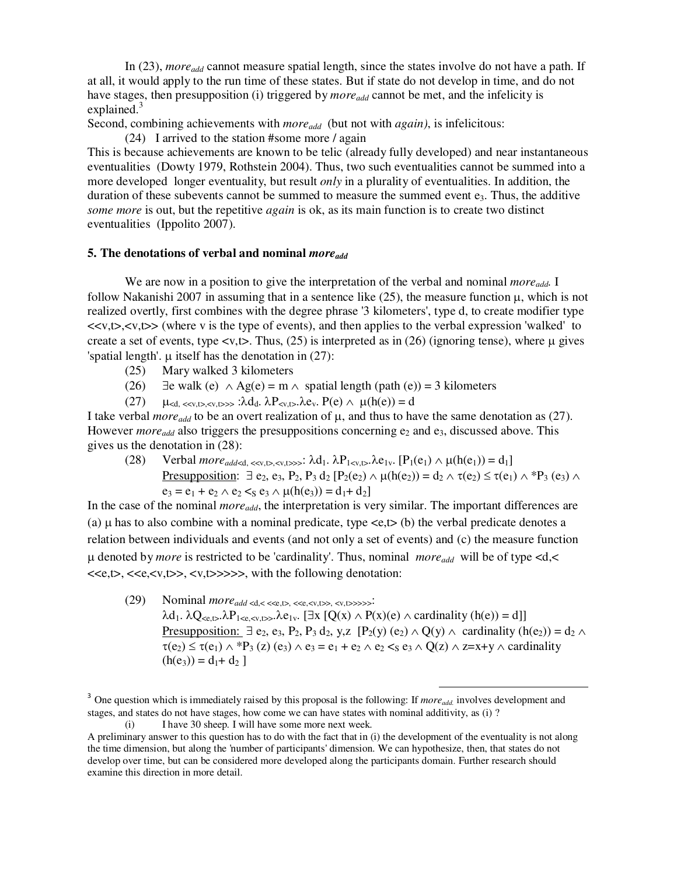In (23), *more*<sub>add</sub> cannot measure spatial length, since the states involve do not have a path. If at all, it would apply to the run time of these states. But if state do not develop in time, and do not have stages, then presupposition (i) triggered by *moreadd* cannot be met, and the infelicity is explained. $3$ 

Second, combining achievements with *moreadd* (but not with *again)*, is infelicitous:

(24) I arrived to the station #some more / again

This is because achievements are known to be telic (already fully developed) and near instantaneous eventualities (Dowty 1979, Rothstein 2004). Thus, two such eventualities cannot be summed into a more developed longer eventuality, but result *only* in a plurality of eventualities. In addition, the duration of these subevents cannot be summed to measure the summed event  $e_3$ . Thus, the additive *some more* is out, but the repetitive *again* is ok, as its main function is to create two distinct eventualities (Ippolito 2007).

### **5. The denotations of verbal and nominal** *moreadd*

 We are now in a position to give the interpretation of the verbal and nominal *moreadd.* I follow Nakanishi 2007 in assuming that in a sentence like  $(25)$ , the measure function  $\mu$ , which is not realized overtly, first combines with the degree phrase '3 kilometers', type d, to create modifier type  $\langle x, t \rangle, \langle v, t \rangle$  (where v is the type of events), and then applies to the verbal expression 'walked' to create a set of events, type  $\langle v, t \rangle$ . Thus, (25) is interpreted as in (26) (ignoring tense), where  $\mu$  gives 'spatial length'.  $\mu$  itself has the denotation in (27):

- (25) Mary walked 3 kilometers
- (26)  $\exists$ e walk (e)  $\land$  Ag(e) = m  $\land$  spatial length (path (e)) = 3 kilometers
- (27)  $\mu_{\le d, \le v, t>, v, t>>} : \lambda d_d, \lambda P_{\le v, t}, \lambda e_v, P(e) \wedge \mu(h(e)) = d$

I take verbal *more*<sub>add</sub> to be an overt realization of  $\mu$ , and thus to have the same denotation as (27). However *more*<sub>add</sub> also triggers the presuppositions concerning e<sub>2</sub> and e<sub>3</sub>, discussed above. This gives us the denotation in (28):

(28) Verbal  $more_{add< d, \ll v, t>, \ll v, t >>}$ :  $\lambda d_1$ .  $\lambda P_{1< v, t>}$ .  $\lambda e_{1v}$ .  $[P_1(e_1) \wedge \mu(h(e_1)) = d_1]$ Presupposition:  $\exists$  e<sub>2</sub>, e<sub>3</sub>, P<sub>2</sub>, P<sub>3</sub> d<sub>2</sub> [P<sub>2</sub>(e<sub>2</sub>)  $\land$  µ(h(e<sub>2</sub>)) = d<sub>2</sub>  $\land$   $\tau$ (e<sub>2</sub>)  $\leq \tau$ (e<sub>1</sub>)  $\land$   $*$ P<sub>3</sub> (e<sub>3</sub>)  $\land$  $e_3 = e_1 + e_2 \wedge e_2 < s_3 \wedge \mu(h(e_3)) = d_1 + d_2$ 

In the case of the nominal *moreadd*, the interpretation is very similar. The important differences are (a)  $\mu$  has to also combine with a nominal predicate, type  $\langle e, t \rangle$  (b) the verbal predicate denotes a relation between individuals and events (and not only a set of events) and (c) the measure function µ denoted by *more* is restricted to be 'cardinality'. Thus, nominal *moreadd* will be of type <d,< <<e,t>, <<e,<v,t>>, <v,t>>>>>, with the following denotation:

(29) Nominal  $more_{add} < \ll \ll r, \ll \ll r, \ll \ll r, \ll \ll r, \ll \ll r, \ll \ll r$  $\lambda$ d<sub>1</sub>.  $\lambda$ Q<sub><e,t></sub>. $\lambda$ P<sub>1<e, <γ,t>>.</sub> $\lambda$ e<sub>1γ</sub>. [∃x [Q(x) ∧ P(x)(e) ∧ cardinality (h(e)) = d]] Presupposition:  $\exists$  e<sub>2</sub>, e<sub>3</sub>, P<sub>2</sub>, P<sub>3</sub> d<sub>2</sub>, y,z  $[P_2(y) (e_2) \wedge Q(y) \wedge$  cardinality  $(h(e_2)) = d_2 \wedge$  $\tau(e_2) \leq \tau(e_1) \wedge {}^*P_3(z)$  (e<sub>3</sub>)  $\wedge$  e<sub>3</sub> = e<sub>1</sub> + e<sub>2</sub>  $\wedge$  e<sub>2</sub> < s<sub>8</sub>  $\wedge$  Q(z)  $\wedge$  z=x+y  $\wedge$  cardinality  $(h(e_3)) = d_1 + d_2$ ]

 $\overline{a}$ 

<sup>&</sup>lt;sup>3</sup> One question which is immediately raised by this proposal is the following: If *more*<sub>add.</sub> involves development and stages, and states do not have stages, how come we can have states with nominal additivity, as (i) ?

 <sup>(</sup>i) I have 30 sheep. I will have some more next week*.* 

A preliminary answer to this question has to do with the fact that in (i) the development of the eventuality is not along the time dimension, but along the 'number of participants' dimension. We can hypothesize, then, that states do not develop over time, but can be considered more developed along the participants domain. Further research should examine this direction in more detail.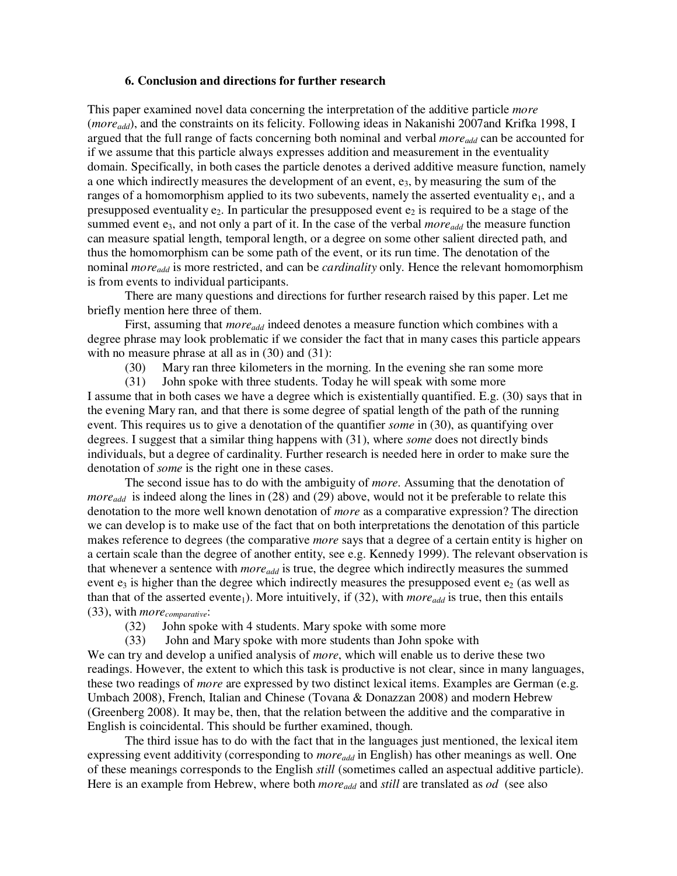### **6. Conclusion and directions for further research**

This paper examined novel data concerning the interpretation of the additive particle *more* (*moreadd*), and the constraints on its felicity. Following ideas in Nakanishi 2007and Krifka 1998, I argued that the full range of facts concerning both nominal and verbal *moreadd* can be accounted for if we assume that this particle always expresses addition and measurement in the eventuality domain. Specifically, in both cases the particle denotes a derived additive measure function, namely a one which indirectly measures the development of an event,  $e_3$ , by measuring the sum of the ranges of a homomorphism applied to its two subevents, namely the asserted eventuality  $e_1$ , and a presupposed eventuality  $e_2$ . In particular the presupposed event  $e_2$  is required to be a stage of the summed event e<sub>3</sub>, and not only a part of it. In the case of the verbal *more*<sub>add</sub> the measure function can measure spatial length, temporal length, or a degree on some other salient directed path, and thus the homomorphism can be some path of the event, or its run time. The denotation of the nominal *moreadd* is more restricted, and can be *cardinality* only. Hence the relevant homomorphism is from events to individual participants.

 There are many questions and directions for further research raised by this paper. Let me briefly mention here three of them.

First, assuming that *more*<sub>add</sub> indeed denotes a measure function which combines with a degree phrase may look problematic if we consider the fact that in many cases this particle appears with no measure phrase at all as in  $(30)$  and  $(31)$ :

(30) Mary ran three kilometers in the morning. In the evening she ran some more

 (31) John spoke with three students. Today he will speak with some more I assume that in both cases we have a degree which is existentially quantified. E.g. (30) says that in the evening Mary ran, and that there is some degree of spatial length of the path of the running event. This requires us to give a denotation of the quantifier *some* in (30), as quantifying over degrees. I suggest that a similar thing happens with (31), where *some* does not directly binds individuals, but a degree of cardinality. Further research is needed here in order to make sure the denotation of *some* is the right one in these cases.

 The second issue has to do with the ambiguity of *more*. Assuming that the denotation of *more<sub>add</sub>* is indeed along the lines in (28) and (29) above, would not it be preferable to relate this denotation to the more well known denotation of *more* as a comparative expression? The direction we can develop is to make use of the fact that on both interpretations the denotation of this particle makes reference to degrees (the comparative *more* says that a degree of a certain entity is higher on a certain scale than the degree of another entity, see e.g. Kennedy 1999). The relevant observation is that whenever a sentence with *moreadd* is true, the degree which indirectly measures the summed event  $e_3$  is higher than the degree which indirectly measures the presupposed event  $e_2$  (as well as than that of the asserted evente<sub>1</sub>). More intuitively, if (32), with *more*<sub>add</sub> is true, then this entails (33), with *morecomparative*:

- (32) John spoke with 4 students. Mary spoke with some more
- (33) John and Mary spoke with more students than John spoke with

We can try and develop a unified analysis of *more*, which will enable us to derive these two readings. However, the extent to which this task is productive is not clear, since in many languages, these two readings of *more* are expressed by two distinct lexical items. Examples are German (e.g. Umbach 2008), French, Italian and Chinese (Tovana & Donazzan 2008) and modern Hebrew (Greenberg 2008). It may be, then, that the relation between the additive and the comparative in English is coincidental. This should be further examined, though.

 The third issue has to do with the fact that in the languages just mentioned, the lexical item expressing event additivity (corresponding to *moreadd* in English) has other meanings as well. One of these meanings corresponds to the English *still* (sometimes called an aspectual additive particle). Here is an example from Hebrew, where both *moreadd* and *still* are translated as *od* (see also